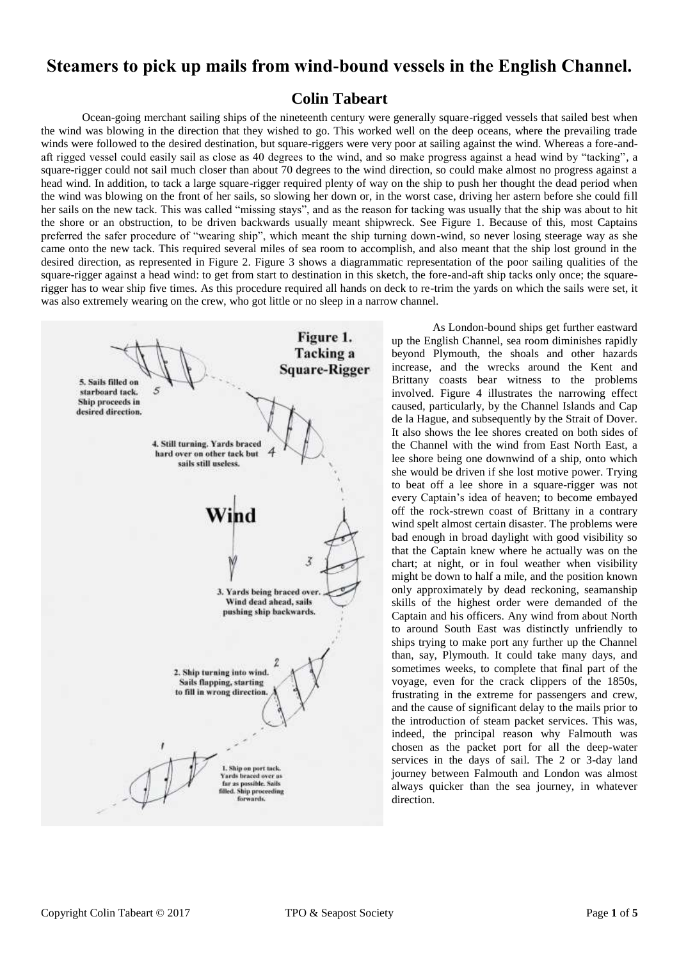# **Steamers to pick up mails from wind-bound vessels in the English Channel.**

## **Colin Tabeart**

Ocean-going merchant sailing ships of the nineteenth century were generally square-rigged vessels that sailed best when the wind was blowing in the direction that they wished to go. This worked well on the deep oceans, where the prevailing trade winds were followed to the desired destination, but square-riggers were very poor at sailing against the wind. Whereas a fore-andaft rigged vessel could easily sail as close as 40 degrees to the wind, and so make progress against a head wind by "tacking", a square-rigger could not sail much closer than about 70 degrees to the wind direction, so could make almost no progress against a head wind. In addition, to tack a large square-rigger required plenty of way on the ship to push her thought the dead period when the wind was blowing on the front of her sails, so slowing her down or, in the worst case, driving her astern before she could fill her sails on the new tack. This was called "missing stays", and as the reason for tacking was usually that the ship was about to hit the shore or an obstruction, to be driven backwards usually meant shipwreck. See Figure 1. Because of this, most Captains preferred the safer procedure of "wearing ship", which meant the ship turning down-wind, so never losing steerage way as she came onto the new tack. This required several miles of sea room to accomplish, and also meant that the ship lost ground in the desired direction, as represented in Figure 2. Figure 3 shows a diagrammatic representation of the poor sailing qualities of the square-rigger against a head wind: to get from start to destination in this sketch, the fore-and-aft ship tacks only once; the squarerigger has to wear ship five times. As this procedure required all hands on deck to re-trim the yards on which the sails were set, it was also extremely wearing on the crew, who got little or no sleep in a narrow channel.



As London-bound ships get further eastward up the English Channel, sea room diminishes rapidly beyond Plymouth, the shoals and other hazards increase, and the wrecks around the Kent and Brittany coasts bear witness to the problems involved. Figure 4 illustrates the narrowing effect caused, particularly, by the Channel Islands and Cap de la Hague, and subsequently by the Strait of Dover. It also shows the lee shores created on both sides of the Channel with the wind from East North East, a lee shore being one downwind of a ship, onto which she would be driven if she lost motive power. Trying to beat off a lee shore in a square-rigger was not every Captain's idea of heaven; to become embayed off the rock-strewn coast of Brittany in a contrary wind spelt almost certain disaster. The problems were bad enough in broad daylight with good visibility so that the Captain knew where he actually was on the chart; at night, or in foul weather when visibility might be down to half a mile, and the position known only approximately by dead reckoning, seamanship skills of the highest order were demanded of the Captain and his officers. Any wind from about North to around South East was distinctly unfriendly to ships trying to make port any further up the Channel than, say, Plymouth. It could take many days, and sometimes weeks, to complete that final part of the voyage, even for the crack clippers of the 1850s, frustrating in the extreme for passengers and crew, and the cause of significant delay to the mails prior to the introduction of steam packet services. This was, indeed, the principal reason why Falmouth was chosen as the packet port for all the deep-water services in the days of sail. The 2 or 3-day land journey between Falmouth and London was almost always quicker than the sea journey, in whatever direction.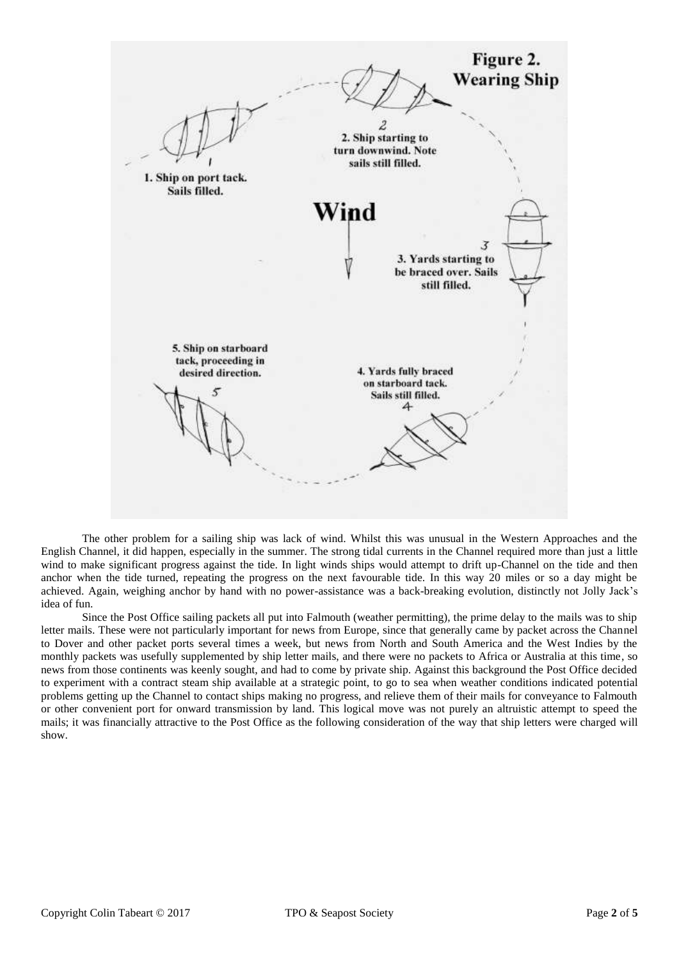

The other problem for a sailing ship was lack of wind. Whilst this was unusual in the Western Approaches and the English Channel, it did happen, especially in the summer. The strong tidal currents in the Channel required more than just a little wind to make significant progress against the tide. In light winds ships would attempt to drift up-Channel on the tide and then anchor when the tide turned, repeating the progress on the next favourable tide. In this way 20 miles or so a day might be achieved. Again, weighing anchor by hand with no power-assistance was a back-breaking evolution, distinctly not Jolly Jack's idea of fun.

Since the Post Office sailing packets all put into Falmouth (weather permitting), the prime delay to the mails was to ship letter mails. These were not particularly important for news from Europe, since that generally came by packet across the Channel to Dover and other packet ports several times a week, but news from North and South America and the West Indies by the monthly packets was usefully supplemented by ship letter mails, and there were no packets to Africa or Australia at this time, so news from those continents was keenly sought, and had to come by private ship. Against this background the Post Office decided to experiment with a contract steam ship available at a strategic point, to go to sea when weather conditions indicated potential problems getting up the Channel to contact ships making no progress, and relieve them of their mails for conveyance to Falmouth or other convenient port for onward transmission by land. This logical move was not purely an altruistic attempt to speed the mails; it was financially attractive to the Post Office as the following consideration of the way that ship letters were charged will show.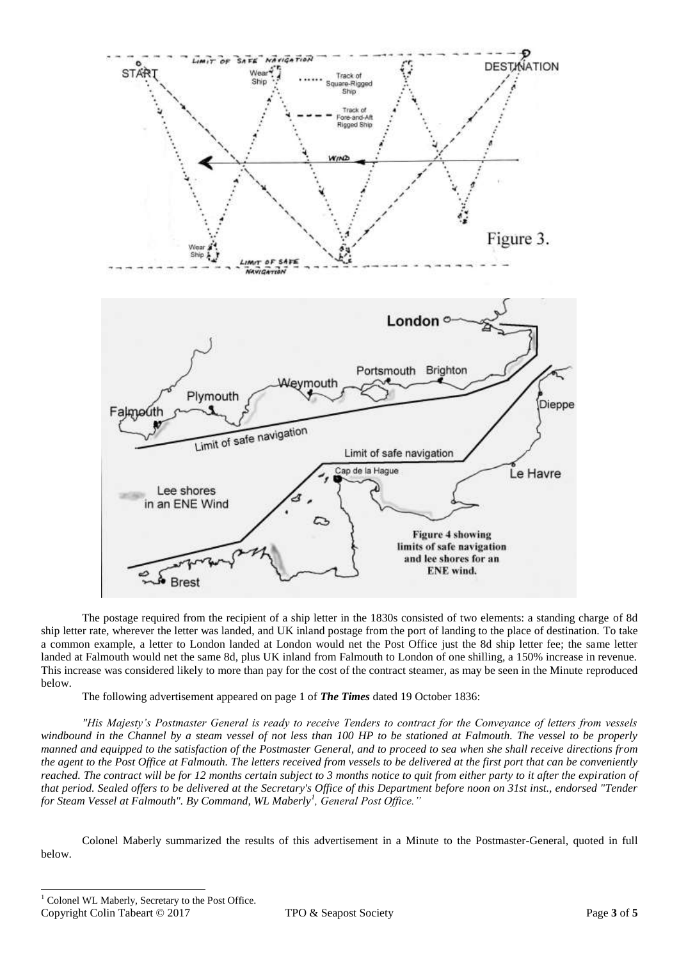

The postage required from the recipient of a ship letter in the 1830s consisted of two elements: a standing charge of 8d ship letter rate, wherever the letter was landed, and UK inland postage from the port of landing to the place of destination. To take a common example, a letter to London landed at London would net the Post Office just the 8d ship letter fee; the same letter landed at Falmouth would net the same 8d, plus UK inland from Falmouth to London of one shilling, a 150% increase in revenue. This increase was considered likely to more than pay for the cost of the contract steamer, as may be seen in the Minute reproduced below.

The following advertisement appeared on page 1 of *The Times* dated 19 October 1836:

*"His Majesty's Postmaster General is ready to receive Tenders to contract for the Conveyance of letters from vessels windbound in the Channel by a steam vessel of not less than 100 HP to be stationed at Falmouth. The vessel to be properly manned and equipped to the satisfaction of the Postmaster General, and to proceed to sea when she shall receive directions from the agent to the Post Office at Falmouth. The letters received from vessels to be delivered at the first port that can be conveniently reached. The contract will be for 12 months certain subject to 3 months notice to quit from either party to it after the expiration of that period. Sealed offers to be delivered at the Secretary's Office of this Department before noon on 31st inst., endorsed "Tender for Steam Vessel at Falmouth". By Command, WL Maberly<sup>1</sup> , General Post Office."*

Colonel Maberly summarized the results of this advertisement in a Minute to the Postmaster-General, quoted in full below.

-

Copyright Colin Tabeart © 2017 TPO & Seapost Society Page **3** of **5**  $^{\rm l}$  Colonel WL Maberly, Secretary to the Post Office.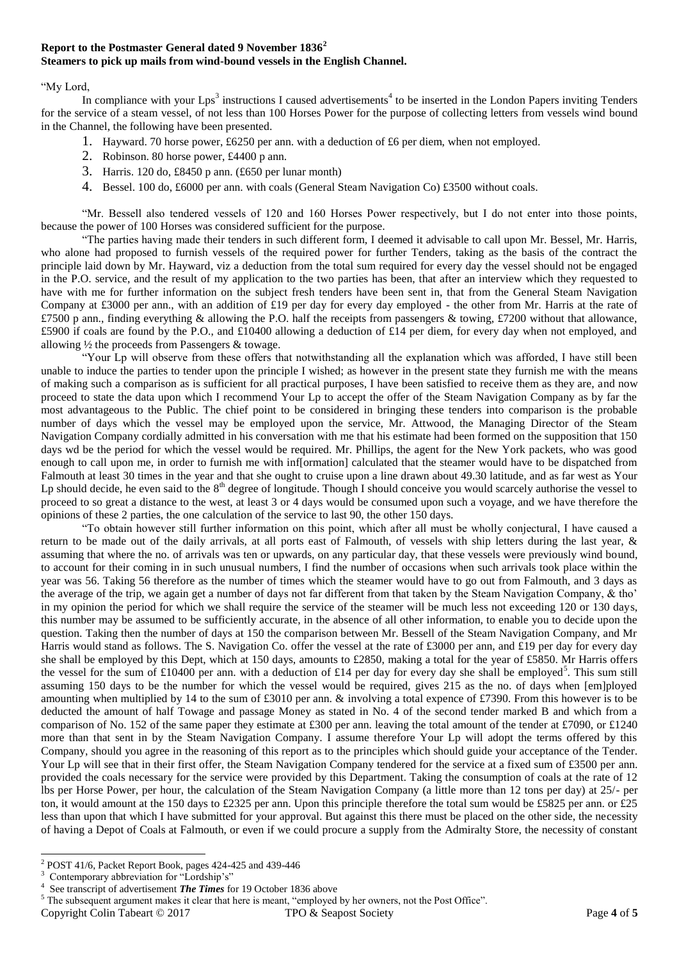### **Report to the Postmaster General dated 9 November 1836<sup>2</sup> Steamers to pick up mails from wind-bound vessels in the English Channel.**

#### "My Lord,

In compliance with your  $Lps<sup>3</sup>$  instructions I caused advertisements<sup>4</sup> to be inserted in the London Papers inviting Tenders for the service of a steam vessel, of not less than 100 Horses Power for the purpose of collecting letters from vessels wind bound in the Channel, the following have been presented.

- 1. Hayward. 70 horse power, £6250 per ann. with a deduction of £6 per diem, when not employed.
- 2. Robinson. 80 horse power, £4400 p ann.
- 3. Harris. 120 do, £8450 p ann. (£650 per lunar month)
- 4. Bessel. 100 do, £6000 per ann. with coals (General Steam Navigation Co) £3500 without coals.

"Mr. Bessell also tendered vessels of 120 and 160 Horses Power respectively, but I do not enter into those points, because the power of 100 Horses was considered sufficient for the purpose.

"The parties having made their tenders in such different form, I deemed it advisable to call upon Mr. Bessel, Mr. Harris, who alone had proposed to furnish vessels of the required power for further Tenders, taking as the basis of the contract the principle laid down by Mr. Hayward, viz a deduction from the total sum required for every day the vessel should not be engaged in the P.O. service, and the result of my application to the two parties has been, that after an interview which they requested to have with me for further information on the subject fresh tenders have been sent in, that from the General Steam Navigation Company at £3000 per ann., with an addition of £19 per day for every day employed - the other from Mr. Harris at the rate of £7500 p ann., finding everything & allowing the P.O. half the receipts from passengers & towing, £7200 without that allowance, £5900 if coals are found by the P.O., and £10400 allowing a deduction of £14 per diem, for every day when not employed, and allowing ½ the proceeds from Passengers & towage.

"Your Lp will observe from these offers that notwithstanding all the explanation which was afforded, I have still been unable to induce the parties to tender upon the principle I wished; as however in the present state they furnish me with the means of making such a comparison as is sufficient for all practical purposes, I have been satisfied to receive them as they are, and now proceed to state the data upon which I recommend Your Lp to accept the offer of the Steam Navigation Company as by far the most advantageous to the Public. The chief point to be considered in bringing these tenders into comparison is the probable number of days which the vessel may be employed upon the service, Mr. Attwood, the Managing Director of the Steam Navigation Company cordially admitted in his conversation with me that his estimate had been formed on the supposition that 150 days wd be the period for which the vessel would be required. Mr. Phillips, the agent for the New York packets, who was good enough to call upon me, in order to furnish me with inf[ormation] calculated that the steamer would have to be dispatched from Falmouth at least 30 times in the year and that she ought to cruise upon a line drawn about 49.30 latitude, and as far west as Your Lp should decide, he even said to the  $8<sup>th</sup>$  degree of longitude. Though I should conceive you would scarcely authorise the vessel to proceed to so great a distance to the west, at least 3 or 4 days would be consumed upon such a voyage, and we have therefore the opinions of these 2 parties, the one calculation of the service to last 90, the other 150 days.

"To obtain however still further information on this point, which after all must be wholly conjectural, I have caused a return to be made out of the daily arrivals, at all ports east of Falmouth, of vessels with ship letters during the last year, & assuming that where the no. of arrivals was ten or upwards, on any particular day, that these vessels were previously wind bound, to account for their coming in in such unusual numbers, I find the number of occasions when such arrivals took place within the year was 56. Taking 56 therefore as the number of times which the steamer would have to go out from Falmouth, and 3 days as the average of the trip, we again get a number of days not far different from that taken by the Steam Navigation Company, & tho' in my opinion the period for which we shall require the service of the steamer will be much less not exceeding 120 or 130 days, this number may be assumed to be sufficiently accurate, in the absence of all other information, to enable you to decide upon the question. Taking then the number of days at 150 the comparison between Mr. Bessell of the Steam Navigation Company, and Mr Harris would stand as follows. The S. Navigation Co. offer the vessel at the rate of £3000 per ann, and £19 per day for every day she shall be employed by this Dept, which at 150 days, amounts to £2850, making a total for the year of £5850. Mr Harris offers the vessel for the sum of £10400 per ann. with a deduction of £14 per day for every day she shall be employed<sup>5</sup>. This sum still assuming 150 days to be the number for which the vessel would be required, gives 215 as the no. of days when [em]ployed amounting when multiplied by 14 to the sum of £3010 per ann. & involving a total expence of £7390. From this however is to be deducted the amount of half Towage and passage Money as stated in No. 4 of the second tender marked B and which from a comparison of No. 152 of the same paper they estimate at £300 per ann. leaving the total amount of the tender at £7090, or £1240 more than that sent in by the Steam Navigation Company. I assume therefore Your Lp will adopt the terms offered by this Company, should you agree in the reasoning of this report as to the principles which should guide your acceptance of the Tender. Your Lp will see that in their first offer, the Steam Navigation Company tendered for the service at a fixed sum of £3500 per ann. provided the coals necessary for the service were provided by this Department. Taking the consumption of coals at the rate of 12 lbs per Horse Power, per hour, the calculation of the Steam Navigation Company (a little more than 12 tons per day) at 25/- per ton, it would amount at the 150 days to £2325 per ann. Upon this principle therefore the total sum would be £5825 per ann. or £25 less than upon that which I have submitted for your approval. But against this there must be placed on the other side, the necessity of having a Depot of Coals at Falmouth, or even if we could procure a supply from the Admiralty Store, the necessity of constant

Copyright Colin Tabeart © 2017 TPO & Seapost Society Page **4** of **5**

<sup>-</sup>2 POST 41/6, Packet Report Book, pages 424-425 and 439-446

<sup>&</sup>lt;sup>3</sup> Contemporary abbreviation for "Lordship's"

<sup>4</sup> See transcript of advertisement *The Times* for 19 October 1836 above

<sup>&</sup>lt;sup>5</sup> The subsequent argument makes it clear that here is meant, "employed by her owners, not the Post Office".